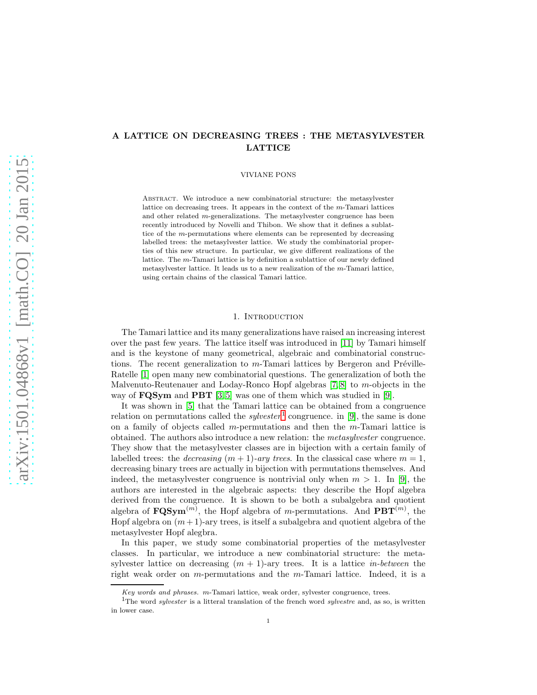# A LATTICE ON DECREASING TREES : THE METASYLVESTER LATTICE

VIVIANE PONS

ABSTRACT. We introduce a new combinatorial structure: the metasylvester lattice on decreasing trees. It appears in the context of the m-Tamari lattices and other related  $m$ -generalizations. The metasylvester congruence has been recently introduced by Novelli and Thibon. We show that it defines a sublattice of the m-permutations where elements can be represented by decreasing labelled trees: the metasylvester lattice. We study the combinatorial properties of this new structure. In particular, we give different realizations of the lattice. The m-Tamari lattice is by definition a sublattice of our newly defined metasylvester lattice. It leads us to a new realization of the m-Tamari lattice, using certain chains of the classical Tamari lattice.

### 1. INTRODUCTION

The Tamari lattice and its many generalizations have raised an increasing interest over the past few years. The lattice itself was introduced in [\[11\]](#page-12-0) by Tamari himself and is the keystone of many geometrical, algebraic and combinatorial constructions. The recent generalization to  $m$ -Tamari lattices by Bergeron and Préville-Ratelle [\[1\]](#page-10-0) open many new combinatorial questions. The generalization of both the Malvenuto-Reutenauer and Loday-Ronco Hopf algebras [\[7,](#page-11-0) [8\]](#page-11-1) to m-objects in the way of **FQSym** and **PBT** [\[3,](#page-10-1) [5\]](#page-11-2) was one of them which was studied in [\[9\]](#page-12-1).

It was shown in [\[5\]](#page-11-2) that the Tamari lattice can be obtained from a congruence relation on permutations called the *sylvester*<sup>[1](#page-0-0)</sup> congruence. in [\[9\]](#page-12-1), the same is done on a family of objects called m-permutations and then the m-Tamari lattice is obtained. The authors also introduce a new relation: the metasylvester congruence. They show that the metasylvester classes are in bijection with a certain family of labelled trees: the *decreasing*  $(m + 1)$ -ary trees. In the classical case where  $m = 1$ , decreasing binary trees are actually in bijection with permutations themselves. And indeed, the metasylvester congruence is nontrivial only when  $m > 1$ . In [\[9\]](#page-12-1), the authors are interested in the algebraic aspects: they describe the Hopf algebra derived from the congruence. It is shown to be both a subalgebra and quotient algebra of  $\text{FQSym}^{(m)}$ , the Hopf algebra of m-permutations. And  $\text{PBT}^{(m)}$ , the Hopf algebra on  $(m + 1)$ -ary trees, is itself a subalgebra and quotient algebra of the metasylvester Hopf alegbra.

In this paper, we study some combinatorial properties of the metasylvester classes. In particular, we introduce a new combinatorial structure: the metasylvester lattice on decreasing  $(m + 1)$ -ary trees. It is a lattice *in-between* the right weak order on  $m$ -permutations and the  $m$ -Tamari lattice. Indeed, it is a

*Key words and phrases.* m-Tamari lattice, weak order, sylvester congruence, trees.

<span id="page-0-0"></span><sup>1</sup>The word *sylvester* is a litteral translation of the french word *sylvestre* and, as so, is written in lower case.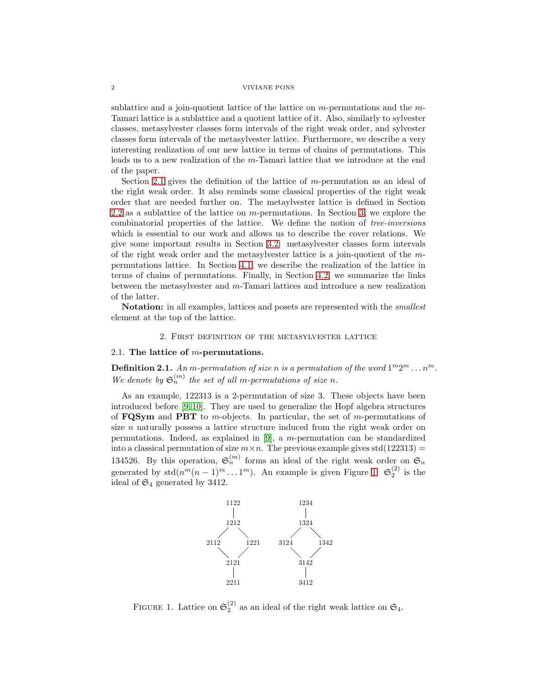sublattice and a join-quotient lattice of the lattice on  $m$ -permutations and the  $m$ -Tamari lattice is a sublattice and a quotient lattice of it. Also, similarly to sylvester classes, metasylvester classes form intervals of the right weak order, and sylvester classes form intervals of the metasylvester lattice. Furthermore, we describe a very interesting realization of our new lattice in terms of chains of permutations. This leads us to a new realization of the m-Tamari lattice that we introduce at the end of the paper.

Section [2.1](#page-1-0) gives the definition of the lattice of m-permutation as an ideal of the right weak order. It also reminds some classical properties of the right weak order that are needed further on. The metaylvester lattice is defined in Section [2.2](#page-2-0) as a sublattice of the lattice on m-permutations. In Section [3,](#page-5-0) we explore the combinatorial properties of the lattice. We define the notion of tree-inversions which is essential to our work and allows us to describe the cover relations. We give some important results in Section [3.2:](#page-7-0) metasylvester classes form intervals of the right weak order and the metasylvester lattice is a join-quotient of the mpermutations lattice. In Section [4.1,](#page-8-0) we describe the realization of the lattice in terms of chains of permutations. Finally, in Section [4.2,](#page-9-0) we summarize the links between the metasylvester and m-Tamari lattices and introduce a new realization of the latter.

**Notation:** in all examples, lattices and posets are represented with the *smallest* element at the top of the lattice.

## 2. First definition of the metasylvester lattice

### <span id="page-1-0"></span>2.1. The lattice of  $m$ -permutations.

**Definition 2.1.** An m-permutation of size n is a permutation of the word  $1^m 2^m \dots n^m$ . We denote by  $\mathfrak{S}_n^{(m)}$  the set of all m-permutations of size n.

As an example, 122313 is a 2-permutation of size 3. These objects have been introduced before [\[9,](#page-12-1) [10\]](#page-12-2). They are used to generalize the Hopf algebra structures of  **and**  $**PBT**$  **to m-objects. In particular, the set of m-permutations of** size n naturally possess a lattice structure induced from the right weak order on permutations. Indeed, as explained in  $[9]$ , a m-permutation can be standardized into a classical permutation of size  $m \times n$ . The previous example gives std(122313) = 134526. By this operation,  $\mathfrak{S}_n^{(m)}$  forms an ideal of the right weak order on  $\mathfrak{S}_n$ generated by  $\text{std}(n^m(n-1)^m \dots 1^m)$ . An example is given Figure [1:](#page-1-1)  $\mathfrak{S}_2^{(2)}$  is the ideal of  $\mathfrak{S}_4$  generated by 3412.



<span id="page-1-1"></span>FIGURE 1. Lattice on  $\mathfrak{S}_2^{(2)}$  as an ideal of the right weak lattice on  $\mathfrak{S}_4$ .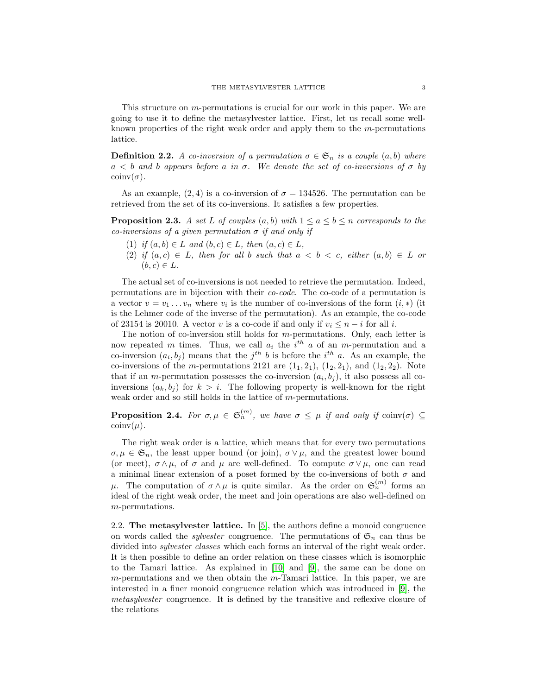This structure on  $m$ -permutations is crucial for our work in this paper. We are going to use it to define the metasylvester lattice. First, let us recall some wellknown properties of the right weak order and apply them to the m-permutations lattice.

**Definition 2.2.** A co-inversion of a permutation  $\sigma \in \mathfrak{S}_n$  is a couple  $(a, b)$  where  $a < b$  and b appears before a in  $\sigma$ . We denote the set of co-inversions of  $\sigma$  by  $\operatorname{coinv}(\sigma)$ .

As an example,  $(2, 4)$  is a co-inversion of  $\sigma = 134526$ . The permutation can be retrieved from the set of its co-inversions. It satisfies a few properties.

<span id="page-2-1"></span>**Proposition 2.3.** A set L of couples  $(a, b)$  with  $1 \le a \le b \le n$  corresponds to the co-inversions of a given permutation  $\sigma$  if and only if

- (1) if  $(a, b) \in L$  and  $(b, c) \in L$ , then  $(a, c) \in L$ ,
- (2) if  $(a, c) \in L$ , then for all b such that  $a < b < c$ , either  $(a, b) \in L$  or  $(b, c) \in L$ .

The actual set of co-inversions is not needed to retrieve the permutation. Indeed, permutations are in bijection with their co-code. The co-code of a permutation is a vector  $v = v_1 \dots v_n$  where  $v_i$  is the number of co-inversions of the form  $(i, *)$  (it is the Lehmer code of the inverse of the permutation). As an example, the co-code of 23154 is 20010. A vector v is a co-code if and only if  $v_i \leq n - i$  for all i.

The notion of co-inversion still holds for m-permutations. Only, each letter is now repeated m times. Thus, we call  $a_i$  the  $i^{th}$  a of an m-permutation and a co-inversion  $(a_i, b_j)$  means that the  $j<sup>th</sup> b$  is before the  $i<sup>th</sup> a$ . As an example, the co-inversions of the m-permutations 2121 are  $(1_1, 2_1)$ ,  $(1_2, 2_1)$ , and  $(1_2, 2_2)$ . Note that if an *m*-permutation possesses the co-inversion  $(a_i, b_j)$ , it also possess all coinversions  $(a_k, b_j)$  for  $k > i$ . The following property is well-known for the right weak order and so still holds in the lattice of  $m$ -permutations.

**Proposition 2.4.** For  $\sigma, \mu \in \mathfrak{S}_n^{(m)}$ , we have  $\sigma \leq \mu$  if and only if  $\text{coinv}(\sigma) \subseteq$  $\operatorname{coinv}(\mu)$ .

The right weak order is a lattice, which means that for every two permutations  $\sigma, \mu \in \mathfrak{S}_n$ , the least upper bound (or join),  $\sigma \vee \mu$ , and the greatest lower bound (or meet),  $\sigma \wedge \mu$ , of  $\sigma$  and  $\mu$  are well-defined. To compute  $\sigma \vee \mu$ , one can read a minimal linear extension of a poset formed by the co-inversions of both  $\sigma$  and  $\mu$ . The computation of  $\sigma \wedge \mu$  is quite similar. As the order on  $\mathfrak{S}_n^{(m)}$  forms an ideal of the right weak order, the meet and join operations are also well-defined on m-permutations.

<span id="page-2-0"></span>2.2. The metasylvester lattice. In [\[5\]](#page-11-2), the authors define a monoid congruence on words called the *sylvester* congruence. The permutations of  $\mathfrak{S}_n$  can thus be divided into sylvester classes which each forms an interval of the right weak order. It is then possible to define an order relation on these classes which is isomorphic to the Tamari lattice. As explained in [\[10\]](#page-12-2) and [\[9\]](#page-12-1), the same can be done on  $m$ -permutations and we then obtain the  $m$ -Tamari lattice. In this paper, we are interested in a finer monoid congruence relation which was introduced in [\[9\]](#page-12-1), the metasylvester congruence. It is defined by the transitive and reflexive closure of the relations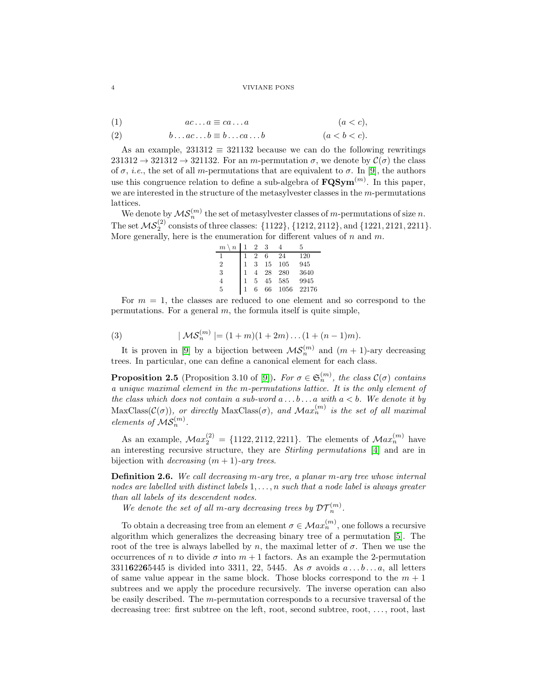- <span id="page-3-1"></span>(1)  $ac \dots a \equiv ca \dots a$   $(a < c),$
- <span id="page-3-2"></span>(2)  $b \dots ac \dots b \equiv b \dots ca \dots b$   $(a < b < c).$

As an example,  $231312 \equiv 321132$  because we can do the following rewritings  $231312 \rightarrow 321312 \rightarrow 321132$ . For an m-permutation  $\sigma$ , we denote by  $\mathcal{C}(\sigma)$  the class of  $\sigma$ , *i.e.*, the set of all *m*-permutations that are equivalent to  $\sigma$ . In [\[9\]](#page-12-1), the authors use this congruence relation to define a sub-algebra of  $\mathbf{FQSym}^{(m)}$ . In this paper, we are interested in the structure of the metasylvester classes in the m-permutations lattices.

We denote by  $\mathcal{MS}_n^{(m)}$  the set of metasylvester classes of m-permutations of size n. The set  $\mathcal{MS}_2^{(2)}$  consists of three classes:  $\{1122\}, \{1212, 2112\}, \text{and } \{1221, 2121, 2211\}.$ More generally, here is the enumeration for different values of  $n$  and  $m$ .

| $\boldsymbol{m}$<br>$\boldsymbol{n}$ | 2 | 3  |      | 5     |
|--------------------------------------|---|----|------|-------|
| ı                                    |   | 6  | 24   | 120   |
| $\overline{2}$                       | 3 | 15 | 105  | 945   |
| 3                                    |   | 28 | 280  | 3640  |
| 4                                    | 5 | 45 | 585  | 9945  |
| 5                                    | 6 | 66 | 1056 | 22176 |

For  $m = 1$ , the classes are reduced to one element and so correspond to the permutations. For a general  $m$ , the formula itself is quite simple,

<span id="page-3-0"></span>(3) 
$$
|\mathcal{MS}_n^{(m)}| = (1+m)(1+2m)\dots(1+(n-1)m).
$$

It is proven in [\[9\]](#page-12-1) by a bijection between  $\mathcal{MS}_n^{(m)}$  and  $(m + 1)$ -ary decreasing trees. In particular, one can define a canonical element for each class.

**Proposition 2.5** (Proposition 3.10 of [\[9\]](#page-12-1)). For  $\sigma \in \mathfrak{S}_n^{(m)}$ , the class  $\mathcal{C}(\sigma)$  contains a unique maximal element in the m-permutations lattice. It is the only element of the class which does not contain a sub-word  $a \ldots b \ldots a$  with  $a < b$ . We denote it by  $\text{MaxClass}(\mathcal{C}(\sigma))$ , or directly  $\text{MaxClass}(\sigma)$ , and  $\mathcal{M}ax_n^{(m)}$  is the set of all maximal elements of  $\mathcal{MS}_n^{(m)}$ .

As an example,  $Max_2^{(2)} = \{1122, 2112, 2211\}$ . The elements of  $Max_n^{(m)}$  have an interesting recursive structure, they are *Stirling permutations* [\[4\]](#page-11-3) and are in bijection with *decreasing*  $(m + 1)$ -ary trees.

Definition 2.6. We call decreasing m-ary tree, a planar m-ary tree whose internal nodes are labelled with distinct labels  $1, \ldots, n$  such that a node label is always greater than all labels of its descendent nodes.

We denote the set of all m-ary decreasing trees by  $DT_n^{(m)}$ .

To obtain a decreasing tree from an element  $\sigma \in \mathcal{M}ax_n^{(m)}$ , one follows a recursive algorithm which generalizes the decreasing binary tree of a permutation [\[5\]](#page-11-2). The root of the tree is always labelled by n, the maximal letter of  $\sigma$ . Then we use the occurrences of n to divide  $\sigma$  into  $m+1$  factors. As an example the 2-permutation  $331162265445$  is divided into 3311, 22, 5445. As  $\sigma$  avoids  $a \ldots b \ldots a$ , all letters of same value appear in the same block. Those blocks correspond to the  $m + 1$ subtrees and we apply the procedure recursively. The inverse operation can also be easily described. The  $m$ -permutation corresponds to a recursive traversal of the decreasing tree: first subtree on the left, root, second subtree, root, ..., root, last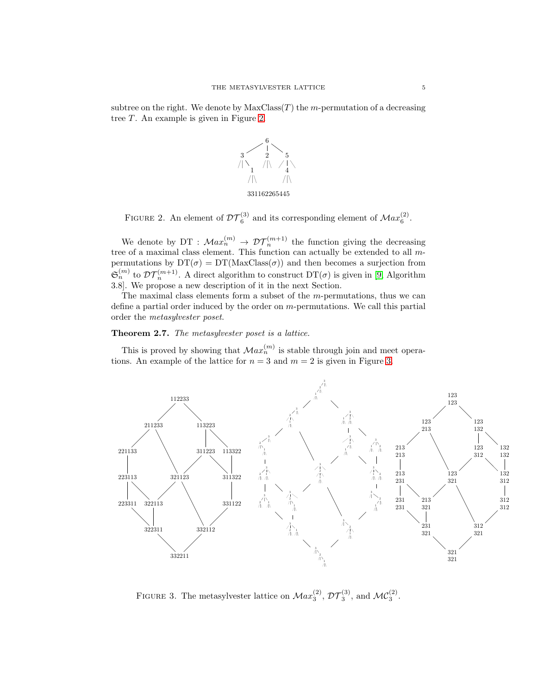subtree on the right. We denote by  $MaxClass(T)$  the m-permutation of a decreasing tree  $T$ . An example is given in Figure [2.](#page-4-0)



<span id="page-4-0"></span>FIGURE 2. An element of  $\mathcal{DT}_6^{(3)}$  and its corresponding element of  $\mathcal{M}ax_6^{(2)}$ .

We denote by DT :  $Max_n^{(m)} \to \mathcal{DT}_n^{(m+1)}$  the function giving the decreasing tree of a maximal class element. This function can actually be extended to all mpermutations by  $DT(\sigma) = DT(MaxClass(\sigma))$  and then becomes a surjection from  $\mathfrak{S}_n^{(m)}$  to  $\mathcal{DT}_n^{(m+1)}$ . A direct algorithm to construct  $DT(\sigma)$  is given in [\[9,](#page-12-1) Algorithm 3.8]. We propose a new description of it in the next Section.

The maximal class elements form a subset of the  $m$ -permutations, thus we can define a partial order induced by the order on m-permutations. We call this partial order the metasylvester poset.

## Theorem 2.7. The metasylvester poset is a lattice.

This is proved by showing that  $Max_n^{(m)}$  is stable through join and meet operations. An example of the lattice for  $n = 3$  and  $m = 2$  is given in Figure [3.](#page-4-1)



<span id="page-4-1"></span>FIGURE 3. The metasylvester lattice on  $Max_3^{(2)}$ ,  $\mathcal{DT}_3^{(3)}$ , and  $\mathcal{MC}_3^{(2)}$ .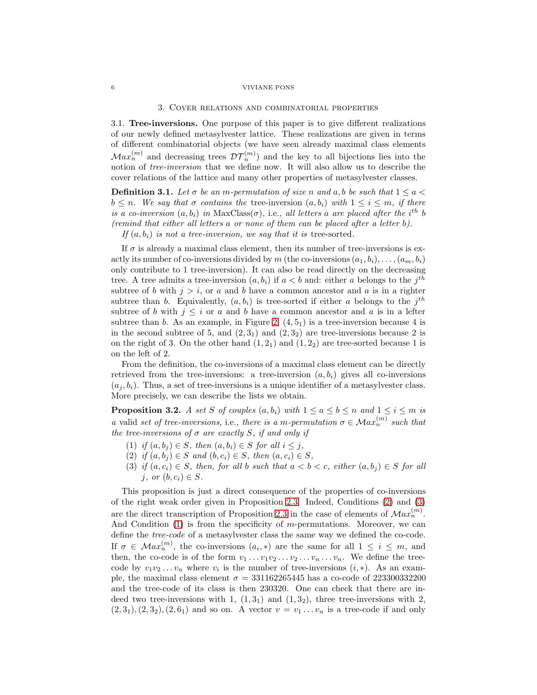#### 3. Cover relations and combinatorial properties

<span id="page-5-0"></span>3.1. Tree-inversions. One purpose of this paper is to give different realizations of our newly defined metasylvester lattice. These realizations are given in terms of different combinatorial objects (we have seen already maximal class elements  $Max_n^{(m)}$  and decreasing trees  $DT_n^{(m)}$ ) and the key to all bijections lies into the notion of tree-inversion that we define now. It will also allow us to describe the cover relations of the lattice and many other properties of metasylvester classes.

<span id="page-5-4"></span>**Definition 3.1.** Let  $\sigma$  be an m-permutation of size n and a, b be such that  $1 \le a$  $b \leq n$ . We say that  $\sigma$  contains the tree-inversion  $(a, b_i)$  with  $1 \leq i \leq m$ , if there is a co-inversion  $(a, b_i)$  in MaxClass $(\sigma)$ , i.e., all letters a are placed after the i<sup>th</sup> b (remind that either all letters a or none of them can be placed after a letter b).

If  $(a, b_i)$  is not a tree-inversion, we say that it is tree-sorted.

If  $\sigma$  is already a maximal class element, then its number of tree-inversions is exactly its number of co-inversions divided by m (the co-inversions  $(a_1, b_i), \ldots, (a_m, b_i)$ ) only contribute to 1 tree-inversion). It can also be read directly on the decreasing tree. A tree admits a tree-inversion  $(a, b_i)$  if  $a < b$  and: either a belongs to the  $j<sup>th</sup>$ subtree of b with  $j > i$ , or a and b have a common ancestor and a is in a righter subtree than b. Equivalently,  $(a, b_i)$  is tree-sorted if either a belongs to the  $j<sup>th</sup>$ subtree of b with  $j \leq i$  or a and b have a common ancestor and a is in a lefter subtree than b. As an example, in Figure [2,](#page-4-0)  $(4, 5<sub>1</sub>)$  is a tree-inversion because 4 is in the second subtree of 5, and  $(2, 3<sub>1</sub>)$  and  $(2, 3<sub>2</sub>)$  are tree-inversions because 2 is on the right of 3. On the other hand  $(1, 2<sub>1</sub>)$  and  $(1, 2<sub>2</sub>)$  are tree-sorted because 1 is on the left of 2.

From the definition, the co-inversions of a maximal class element can be directly retrieved from the tree-inversions: a tree-inversion  $(a, b_i)$  gives all co-inversions  $(a_i, b_i)$ . Thus, a set of tree-inversions is a unique identifier of a metasylvester class. More precisely, we can describe the lists we obtain.

<span id="page-5-5"></span>**Proposition 3.2.** A set S of couples  $(a, b_i)$  with  $1 \le a \le b \le n$  and  $1 \le i \le m$  is a valid set of tree-inversions, i.e., there is a m-permutation  $\sigma \in \mathcal{M}ax_n^{(m)}$  such that the tree-inversions of  $\sigma$  are exactly S, if and only if

- <span id="page-5-3"></span><span id="page-5-1"></span>(1) if  $(a, b_i) \in S$ , then  $(a, b_i) \in S$  for all  $i \leq j$ ,
- <span id="page-5-2"></span>(2) if  $(a, b_i) \in S$  and  $(b, c_i) \in S$ , then  $(a, c_i) \in S$ ,
- (3) if  $(a, c_i) \in S$ , then, for all b such that  $a < b < c$ , either  $(a, b_i) \in S$  for all j, or  $(b, c_i) \in S$ .

This proposition is just a direct consequence of the properties of co-inversions of the right weak order given in Proposition [2.3.](#page-2-1) Indeed, Conditions [\(2\)](#page-5-1) and [\(3\)](#page-5-2) are the direct transcription of Proposition [2.3](#page-2-1) in the case of elements of  $Max_n^{(m)}$ . And Condition  $(1)$  is from the specificity of m-permutations. Moreover, we can define the tree-code of a metasylvester class the same way we defined the co-code. If  $\sigma \in \mathcal{M}ax_n^{(m)}$ , the co-inversions  $(a_i,*)$  are the same for all  $1 \leq i \leq m$ , and then, the co-code is of the form  $v_1 \ldots v_1 v_2 \ldots v_2 \ldots v_n \ldots v_n$ . We define the treecode by  $v_1v_2 \ldots v_n$  where  $v_i$  is the number of tree-inversions  $(i, *)$ . As an example, the maximal class element  $\sigma = 331162265445$  has a co-code of 223300332200 and the tree-code of its class is then 230320. One can check that there are indeed two tree-inversions with 1,  $(1, 3<sub>1</sub>)$  and  $(1, 3<sub>2</sub>)$ , three tree-inversions with 2,  $(2, 3_1), (2, 3_2), (2, 6_1)$  and so on. A vector  $v = v_1 \ldots v_n$  is a tree-code if and only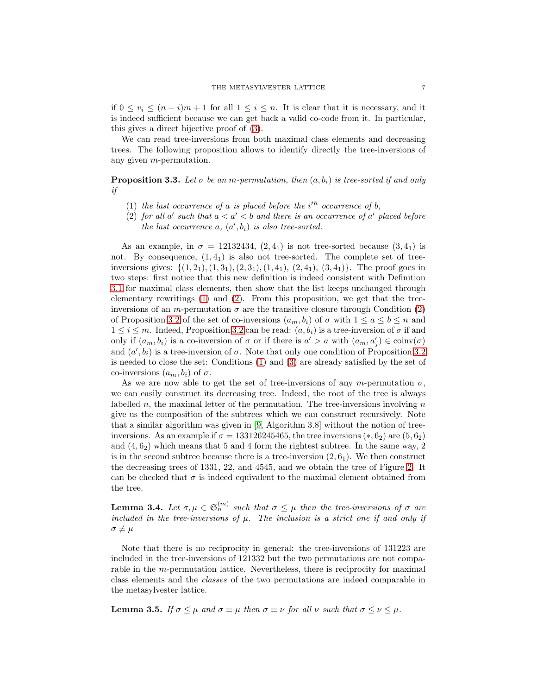if  $0 \le v_i \le (n-i)m+1$  for all  $1 \le i \le n$ . It is clear that it is necessary, and it is indeed sufficient because we can get back a valid co-code from it. In particular, this gives a direct bijective proof of [\(3\)](#page-3-0).

We can read tree-inversions from both maximal class elements and decreasing trees. The following proposition allows to identify directly the tree-inversions of any given m-permutation.

**Proposition 3.3.** Let  $\sigma$  be an m-permutation, then  $(a, b_i)$  is tree-sorted if and only if

- (1) the last occurrence of a is placed before the  $i<sup>th</sup>$  occurrence of b,
- (2) for all a' such that  $a < a' < b$  and there is an occurrence of a' placed before the last occurrence  $a, (a', b_i)$  is also tree-sorted.

As an example, in  $\sigma = 12132434, (2, 4, 4)$  is not tree-sorted because  $(3, 4, 4)$  is not. By consequence,  $(1, 4<sub>1</sub>)$  is also not tree-sorted. The complete set of treeinversions gives:  $\{(1, 2_1), (1, 3_1), (2, 3_1), (1, 4_1), (2, 4_1), (3, 4_1)\}\.$  The proof goes in two steps: first notice that this new definition is indeed consistent with Definition [3.1](#page-5-4) for maximal class elements, then show that the list keeps unchanged through elementary rewritings [\(1\)](#page-3-1) and [\(2\)](#page-3-2). From this proposition, we get that the treeinversions of an m-permutation  $\sigma$  are the transitive closure through Condition [\(2\)](#page-5-1) of Proposition [3.2](#page-5-5) of the set of co-inversions  $(a_m, b_i)$  of  $\sigma$  with  $1 \le a \le b \le n$  and  $1 \leq i \leq m$ . Indeed, Proposition [3.2](#page-5-5) can be read:  $(a, b_i)$  is a tree-inversion of  $\sigma$  if and only if  $(a_m, b_i)$  is a co-inversion of  $\sigma$  or if there is  $a' > a$  with  $(a_m, a'_j) \in \text{coinv}(\sigma)$ and  $(a', b_i)$  is a tree-inversion of  $\sigma$ . Note that only one condition of Proposition [3.2](#page-5-5) is needed to close the set: Conditions [\(1\)](#page-5-3) and [\(3\)](#page-5-2) are already satisfied by the set of co-inversions  $(a_m, b_i)$  of  $\sigma$ .

As we are now able to get the set of tree-inversions of any m-permutation  $\sigma$ , we can easily construct its decreasing tree. Indeed, the root of the tree is always labelled n, the maximal letter of the permutation. The tree-inversions involving  $n$ give us the composition of the subtrees which we can construct recursively. Note that a similar algorithm was given in [\[9,](#page-12-1) Algorithm 3.8] without the notion of treeinversions. As an example if  $\sigma = 133126245465$ , the tree inversions  $(*, 6<sub>2</sub>)$  are  $(5, 6<sub>2</sub>)$ and  $(4, 6<sub>2</sub>)$  which means that 5 and 4 form the rightest subtree. In the same way, 2 is in the second subtree because there is a tree-inversion  $(2, 6<sub>1</sub>)$ . We then construct the decreasing trees of 1331, 22, and 4545, and we obtain the tree of Figure [2.](#page-4-0) It can be checked that  $\sigma$  is indeed equivalent to the maximal element obtained from the tree.

<span id="page-6-1"></span>**Lemma 3.4.** Let  $\sigma, \mu \in \mathfrak{S}_n^{(m)}$  such that  $\sigma \leq \mu$  then the tree-inversions of  $\sigma$  are included in the tree-inversions of  $\mu$ . The inclusion is a strict one if and only if  $\sigma \not\equiv \mu$ 

Note that there is no reciprocity in general: the tree-inversions of 131223 are included in the tree-inversions of 121332 but the two permutations are not comparable in the m-permutation lattice. Nevertheless, there is reciprocity for maximal class elements and the classes of the two permutations are indeed comparable in the metasylvester lattice.

<span id="page-6-0"></span>**Lemma 3.5.** If  $\sigma \leq \mu$  and  $\sigma \equiv \mu$  then  $\sigma \equiv \nu$  for all  $\nu$  such that  $\sigma \leq \nu \leq \mu$ .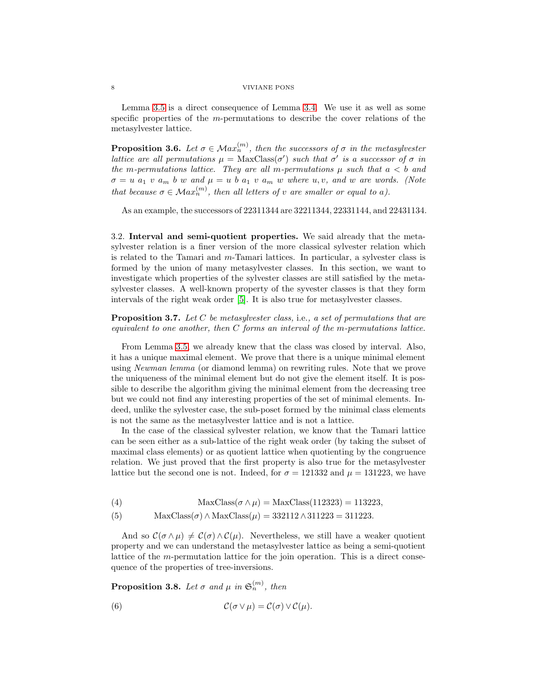Lemma [3.5](#page-6-0) is a direct consequence of Lemma [3.4.](#page-6-1) We use it as well as some specific properties of the m-permutations to describe the cover relations of the metasylvester lattice.

**Proposition 3.6.** Let  $\sigma \in \mathcal{M}ax_n^{(m)}$ , then the successors of  $\sigma$  in the metasylvester lattice are all permutations  $\mu = \text{MaxClass}(\sigma')$  such that  $\sigma'$  is a successor of  $\sigma$  in the m-permutations lattice. They are all m-permutations  $\mu$  such that  $a < b$  and  $\sigma = u$  a<sub>1</sub> v a<sub>m</sub> b w and  $\mu = u$  b a<sub>1</sub> v a<sub>m</sub> w where u, v, and w are words. (Note that because  $\sigma \in \mathcal{M}ax_n^{(m)}$ , then all letters of v are smaller or equal to a).

As an example, the successors of 22311344 are 32211344, 22331144, and 22431134.

<span id="page-7-0"></span>3.2. Interval and semi-quotient properties. We said already that the metasylvester relation is a finer version of the more classical sylvester relation which is related to the Tamari and m-Tamari lattices. In particular, a sylvester class is formed by the union of many metasylvester classes. In this section, we want to investigate which properties of the sylvester classes are still satisfied by the metasylvester classes. A well-known property of the syvester classes is that they form intervals of the right weak order [\[5\]](#page-11-2). It is also true for metasylvester classes.

**Proposition 3.7.** Let C be metasylvester class, i.e., a set of permutations that are equivalent to one another, then C forms an interval of the m-permutations lattice.

From Lemma [3.5,](#page-6-0) we already knew that the class was closed by interval. Also, it has a unique maximal element. We prove that there is a unique minimal element using Newman lemma (or diamond lemma) on rewriting rules. Note that we prove the uniqueness of the minimal element but do not give the element itself. It is possible to describe the algorithm giving the minimal element from the decreasing tree but we could not find any interesting properties of the set of minimal elements. Indeed, unlike the sylvester case, the sub-poset formed by the minimal class elements is not the same as the metasylvester lattice and is not a lattice.

In the case of the classical sylvester relation, we know that the Tamari lattice can be seen either as a sub-lattice of the right weak order (by taking the subset of maximal class elements) or as quotient lattice when quotienting by the congruence relation. We just proved that the first property is also true for the metasylvester lattice but the second one is not. Indeed, for  $\sigma = 121332$  and  $\mu = 131223$ , we have

(4) MaxClass
$$
(\sigma \wedge \mu)
$$
 = MaxClass(112323) = 113223,

(5) MaxClass( $\sigma$ ) ∧ MaxClass( $\mu$ ) = 332112 ∧311223 = 311223.

And so  $\mathcal{C}(\sigma \wedge \mu) \neq \mathcal{C}(\sigma) \wedge \mathcal{C}(\mu)$ . Nevertheless, we still have a weaker quotient property and we can understand the metasylvester lattice as being a semi-quotient lattice of the m-permutation lattice for the join operation. This is a direct consequence of the properties of tree-inversions.

**Proposition 3.8.** Let  $\sigma$  and  $\mu$  in  $\mathfrak{S}_n^{(m)}$ , then

(6) 
$$
\mathcal{C}(\sigma \vee \mu) = \mathcal{C}(\sigma) \vee \mathcal{C}(\mu).
$$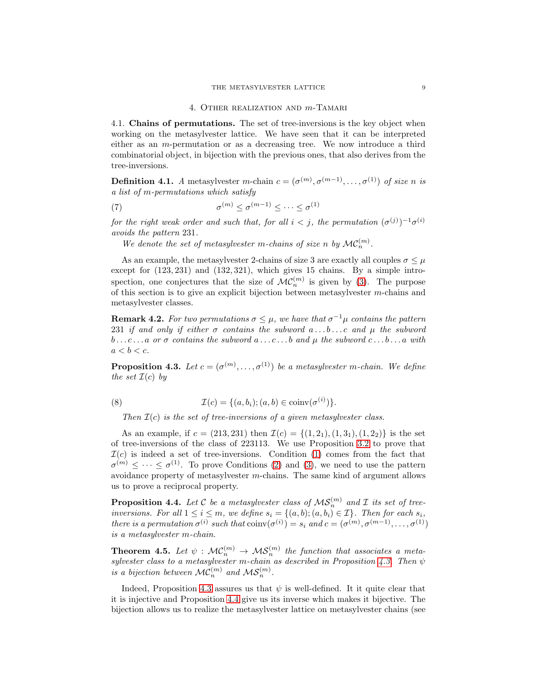#### 4. Other realization and m-Tamari

<span id="page-8-0"></span>4.1. Chains of permutations. The set of tree-inversions is the key object when working on the metasylvester lattice. We have seen that it can be interpreted either as an  $m$ -permutation or as a decreasing tree. We now introduce a third combinatorial object, in bijection with the previous ones, that also derives from the tree-inversions.

**Definition 4.1.** A metasylvester m-chain  $c = (\sigma^{(m)}, \sigma^{(m-1)}, \ldots, \sigma^{(1)})$  of size n is a list of m-permutations which satisfy

(7) 
$$
\sigma^{(m)} \leq \sigma^{(m-1)} \leq \cdots \leq \sigma^{(1)}
$$

for the right weak order and such that, for all  $i < j$ , the permutation  $(\sigma^{(j)})^{-1}\sigma^{(i)}$ avoids the pattern 231.

We denote the set of metasylvester m-chains of size n by  $\mathcal{MC}_n^{(m)}$ .

As an example, the metasylvester 2-chains of size 3 are exactly all couples  $\sigma \leq \mu$ except for  $(123, 231)$  and  $(132, 321)$ , which gives 15 chains. By a simple introspection, one conjectures that the size of  $\mathcal{MC}_n^{(m)}$  is given by [\(3\)](#page-3-0). The purpose of this section is to give an explicit bijection between metasylvester  $m$ -chains and metasylvester classes.

**Remark 4.2.** For two permutations  $\sigma \leq \mu$ , we have that  $\sigma^{-1}\mu$  contains the pattern 231 if and only if either  $\sigma$  contains the subword  $a \ldots b \ldots c$  and  $\mu$  the subword  $b \ldots c \ldots a$  or  $\sigma$  contains the subword  $a \ldots c \ldots b$  and  $\mu$  the subword  $c \ldots b \ldots a$  with  $a < b < c$ .

<span id="page-8-1"></span>**Proposition 4.3.** Let  $c = (\sigma^{(m)}, \ldots, \sigma^{(1)})$  be a metasylvester m-chain. We define the set  $\mathcal{I}(c)$  by

(8) 
$$
\mathcal{I}(c) = \{(a, b_i); (a, b) \in \text{coinv}(\sigma^{(i)})\}.
$$

Then  $\mathcal{I}(c)$  is the set of tree-inversions of a given metasylvester class.

As an example, if  $c = (213, 231)$  then  $\mathcal{I}(c) = \{(1, 21), (1, 31), (1, 22)\}\$ is the set of tree-inversions of the class of 223113. We use Proposition [3.2](#page-5-5) to prove that  $\mathcal{I}(c)$  is indeed a set of tree-inversions. Condition [\(1\)](#page-5-3) comes from the fact that  $\sigma^{(m)} \leq \cdots \leq \sigma^{(1)}$ . To prove Conditions [\(2\)](#page-5-1) and [\(3\)](#page-5-2), we need to use the pattern avoidance property of metasylvester m-chains. The same kind of argument allows us to prove a reciprocal property.

<span id="page-8-2"></span>**Proposition 4.4.** Let C be a metasylvester class of  $MS_n^{(m)}$  and I its set of treeinversions. For all  $1 \leq i \leq m$ , we define  $s_i = \{(a, b); (a, b_i) \in \mathcal{I}\}\)$ . Then for each  $s_i$ , there is a permutation  $\sigma^{(i)}$  such that  $\text{coinv}(\sigma^{(i)}) = s_i$  and  $c = (\sigma^{(m)}, \sigma^{(m-1)}, \ldots, \sigma^{(1)})$ is a metasylvester m-chain.

**Theorem 4.5.** Let  $\psi : \mathcal{MC}_n^{(m)} \to \mathcal{MS}_n^{(m)}$  the function that associates a meta-sylvester class to a metasylvester m-chain as described in Proposition [4.3.](#page-8-1) Then  $\psi$ is a bijection between  $\mathcal{MC}_n^{(m)}$  and  $\mathcal{MS}_n^{(m)}$ .

Indeed, Proposition [4.3](#page-8-1) assures us that  $\psi$  is well-defined. It it quite clear that it is injective and Proposition [4.4](#page-8-2) give us its inverse which makes it bijective. The bijection allows us to realize the metasylvester lattice on metasylvester chains (see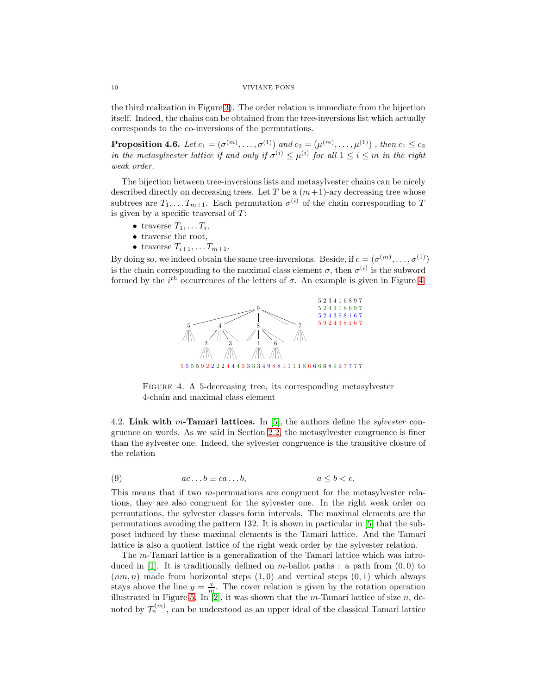the third realization in Figure [3\)](#page-4-1). The order relation is immediate from the bijection itself. Indeed, the chains can be obtained from the tree-inversions list which actually corresponds to the co-inversions of the permutations.

**Proposition 4.6.** Let  $c_1 = (\sigma^{(m)}, \ldots, \sigma^{(1)})$  and  $c_2 = (\mu^{(m)}, \ldots, \mu^{(1)})$  , then  $c_1 \le c_2$ in the metasylvester lattice if and only if  $\sigma^{(i)} \leq \mu^{(i)}$  for all  $1 \leq i \leq m$  in the right weak order.

The bijection between tree-inversions lists and metasylvester chains can be nicely described directly on decreasing trees. Let T be a  $(m+1)$ -ary decreasing tree whose subtrees are  $T_1, \ldots, T_{m+1}$ . Each permutation  $\sigma^{(i)}$  of the chain corresponding to T is given by a specific traversal of  $T$ :

- traverse  $T_1, \ldots T_i$ ,
- traverse the root,
- traverse  $T_{i+1}, \ldots T_{m+1}$ .

By doing so, we indeed obtain the same tree-inversions. Beside, if  $c = (\sigma^{(m)}, \dots, \sigma^{(1)})$ is the chain corresponding to the maximal class element  $\sigma$ , then  $\sigma^{(i)}$  is the subword formed by the  $i^{th}$  occurrences of the letters of  $\sigma$ . An example is given in Figure [4.](#page-9-1)



<span id="page-9-1"></span>Figure 4. A 5-decreasing tree, its corresponding metasylvester 4-chain and maximal class element

<span id="page-9-0"></span>4.2. Link with m-Tamari lattices. In [\[5\]](#page-11-2), the authors define the *sulvester* congruence on words. As we said in Section [2.2,](#page-2-0) the metasylvester congruence is finer than the sylvester one. Indeed, the sylvester congruence is the transitive closure of the relation

(9) 
$$
ac...b \equiv ca...b, \qquad a \leq b < c.
$$

This means that if two m-permuations are congruent for the metasylvester relations, they are also congruent for the sylvester one. In the right weak order on permutations, the sylvester classes form intervals. The maximal elements are the permutations avoiding the pattern 132. It is shown in particular in [\[5\]](#page-11-2) that the subposet induced by these maximal elements is the Tamari lattice. And the Tamari lattice is also a quotient lattice of the right weak order by the sylvester relation.

The m-Tamari lattice is a generalization of the Tamari lattice which was intro-duced in [\[1\]](#page-10-0). It is traditionally defined on  $m$ -ballot paths : a path from  $(0,0)$  to  $(nm, n)$  made from horizontal steps  $(1, 0)$  and vertical steps  $(0, 1)$  which always stays above the line  $y = \frac{x}{m}$ . The cover relation is given by the rotation operation illustrated in Figure [5.](#page-10-2) In  $[2]$ , it was shown that the *m*-Tamari lattice of size *n*, denoted by  $\mathcal{T}_n^{(m)}$ , can be understood as an upper ideal of the classical Tamari lattice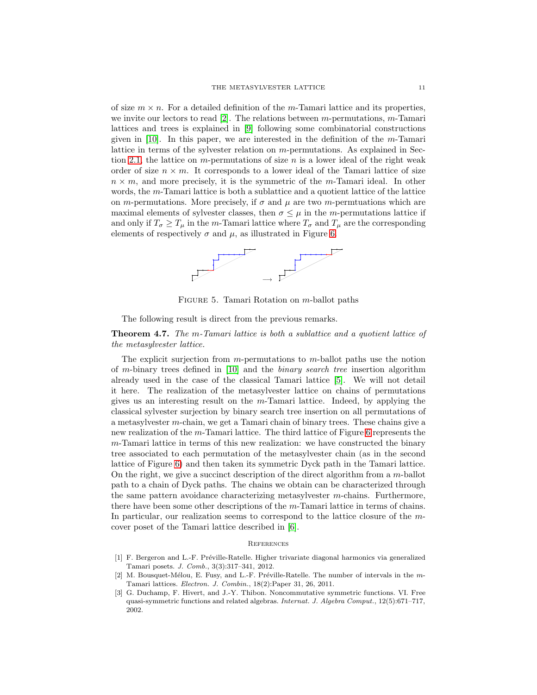of size  $m \times n$ . For a detailed definition of the m-Tamari lattice and its properties, we invite our lectors to read  $[2]$ . The relations between m-permutations, m-Tamari lattices and trees is explained in [\[9\]](#page-12-1) following some combinatorial constructions given in [\[10\]](#page-12-2). In this paper, we are interested in the definition of the m-Tamari lattice in terms of the sylvester relation on m-permutations. As explained in Sec-tion [2.1,](#page-1-0) the lattice on m-permutations of size  $n$  is a lower ideal of the right weak order of size  $n \times m$ . It corresponds to a lower ideal of the Tamari lattice of size  $n \times m$ , and more precisely, it is the symmetric of the m-Tamari ideal. In other words, the m-Tamari lattice is both a sublattice and a quotient lattice of the lattice on m-permutations. More precisely, if  $\sigma$  and  $\mu$  are two m-permutations which are maximal elements of sylvester classes, then  $\sigma \leq \mu$  in the *m*-permutations lattice if and only if  $T_{\sigma} \geq T_{\mu}$  in the m-Tamari lattice where  $T_{\sigma}$  and  $T_{\mu}$  are the corresponding elements of respectively  $\sigma$  and  $\mu$ , as illustrated in Figure [6.](#page-11-4)



<span id="page-10-2"></span>FIGURE 5. Tamari Rotation on  $m$ -ballot paths

The following result is direct from the previous remarks.

## Theorem 4.7. The m-Tamari lattice is both a sublattice and a quotient lattice of the metasylvester lattice.

The explicit surjection from  $m$ -permutations to  $m$ -ballot paths use the notion of m-binary trees defined in [\[10\]](#page-12-2) and the binary search tree insertion algorithm already used in the case of the classical Tamari lattice [\[5\]](#page-11-2). We will not detail it here. The realization of the metasylvester lattice on chains of permutations gives us an interesting result on the  $m$ -Tamari lattice. Indeed, by applying the classical sylvester surjection by binary search tree insertion on all permutations of a metasylvester m-chain, we get a Tamari chain of binary trees. These chains give a new realization of the m-Tamari lattice. The third lattice of Figure [6](#page-11-4) represents the m-Tamari lattice in terms of this new realization: we have constructed the binary tree associated to each permutation of the metasylvester chain (as in the second lattice of Figure [6\)](#page-11-4) and then taken its symmetric Dyck path in the Tamari lattice. On the right, we give a succinct description of the direct algorithm from a m-ballot path to a chain of Dyck paths. The chains we obtain can be characterized through the same pattern avoidance characterizing metasylvester  $m$ -chains. Furthermore, there have been some other descriptions of the m-Tamari lattice in terms of chains. In particular, our realization seems to correspond to the lattice closure of the mcover poset of the Tamari lattice described in [\[6\]](#page-11-5).

## **REFERENCES**

- <span id="page-10-0"></span>[1] F. Bergeron and L.-F. Préville-Ratelle. Higher trivariate diagonal harmonics via generalized Tamari posets. *J. Comb.*, 3(3):317–341, 2012.
- <span id="page-10-3"></span>[2] M. Bousquet-Mélou, E. Fusy, and L.-F. Préville-Ratelle. The number of intervals in the m-Tamari lattices. *Electron. J. Combin.*, 18(2):Paper 31, 26, 2011.
- <span id="page-10-1"></span>[3] G. Duchamp, F. Hivert, and J.-Y. Thibon. Noncommutative symmetric functions. VI. Free quasi-symmetric functions and related algebras. *Internat. J. Algebra Comput.*, 12(5):671–717, 2002.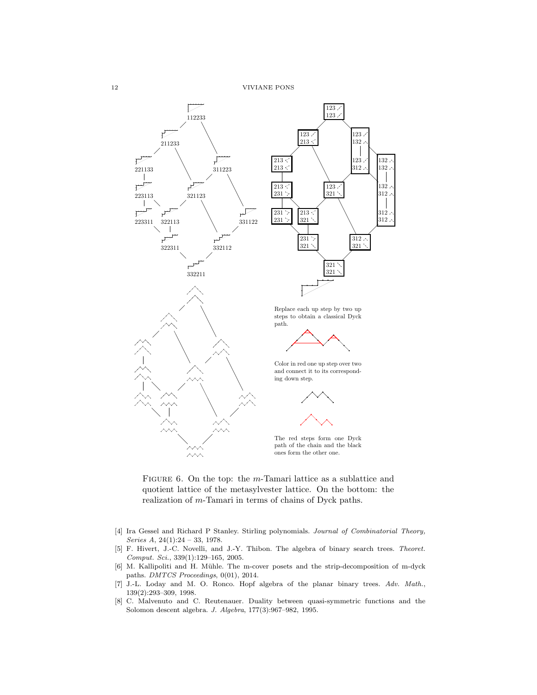$123 \times$  $132 \times$ 

 $123$  $312 \angle$ 

 $312 \lambda$  $321$ 

 $132 \angle$  $132 \times$ 

 $132 \angle$ 312

 $312$  $312 \times$ 



<span id="page-11-4"></span>FIGURE 6. On the top: the m-Tamari lattice as a sublattice and quotient lattice of the metasylvester lattice. On the bottom: the realization of m-Tamari in terms of chains of Dyck paths.

- <span id="page-11-3"></span>[4] Ira Gessel and Richard P Stanley. Stirling polynomials. *Journal of Combinatorial Theory, Series A*, 24(1):24 – 33, 1978.
- <span id="page-11-2"></span>[5] F. Hivert, J.-C. Novelli, and J.-Y. Thibon. The algebra of binary search trees. *Theoret. Comput. Sci.*, 339(1):129–165, 2005.
- <span id="page-11-5"></span>[6] M. Kallipoliti and H. Mühle. The m-cover posets and the strip-decomposition of m-dyck paths. *DMTCS Proceedings*, 0(01), 2014.
- <span id="page-11-0"></span>[7] J.-L. Loday and M. O. Ronco. Hopf algebra of the planar binary trees. *Adv. Math.*, 139(2):293–309, 1998.
- <span id="page-11-1"></span>[8] C. Malvenuto and C. Reutenauer. Duality between quasi-symmetric functions and the Solomon descent algebra. *J. Algebra*, 177(3):967–982, 1995.